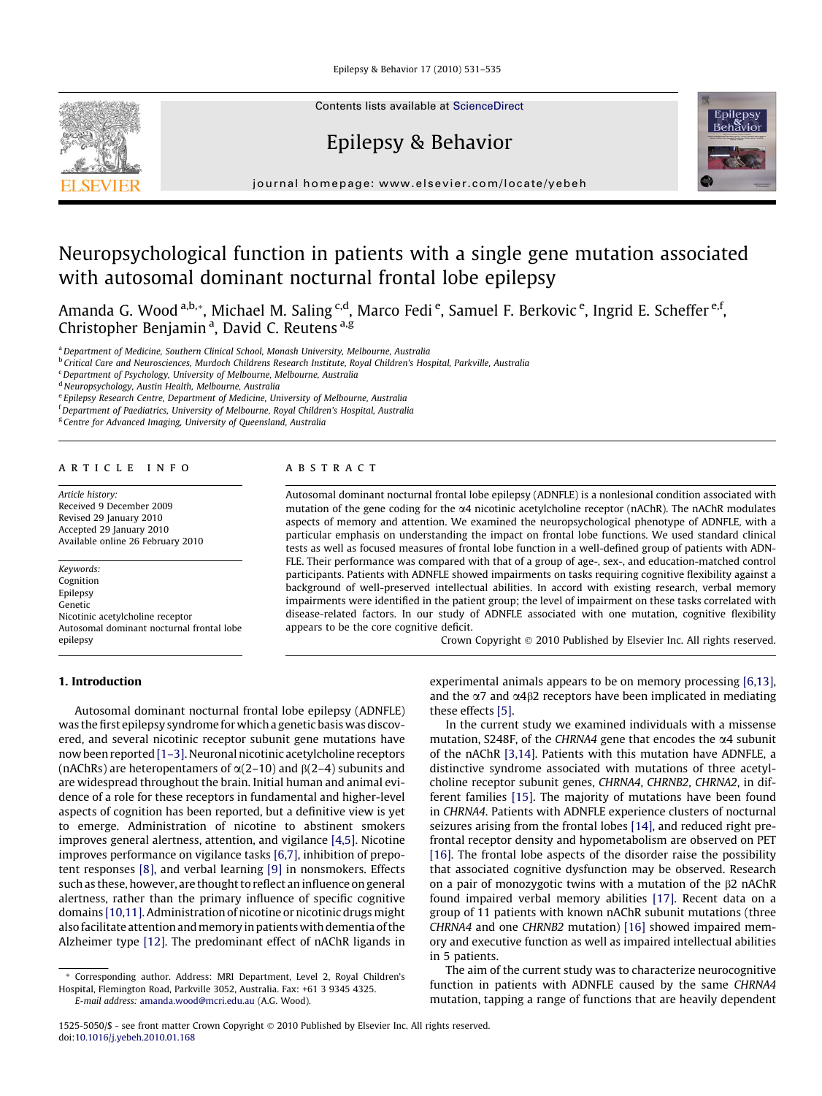Epilepsy & Behavior 17 (2010) 531–535



Contents lists available at [ScienceDirect](http://www.sciencedirect.com/science/journal/15255050)

# Epilepsy & Behavior



journal homepage: [www.elsevier.com/locate/yebeh](http://www.elsevier.com/locate/yebeh)

# Neuropsychological function in patients with a single gene mutation associated with autosomal dominant nocturnal frontal lobe epilepsy

Amanda G. Wood <sup>a,b,</sup>\*, Michael M. Saling <sup>c,d</sup>, Marco Fedi <sup>e</sup>, Samuel F. Berkovic <sup>e</sup>, Ingrid E. Scheffer <sup>e,f</sup>, Christopher Benjamin<sup>a</sup>, David C. Reutens<sup>a, g</sup>

<sup>a</sup> Department of Medicine, Southern Clinical School, Monash University, Melbourne, Australia

**b Critical Care and Neurosciences, Murdoch Childrens Research Institute, Royal Children's Hospital, Parkville, Australia** 

<sup>c</sup>Department of Psychology, University of Melbourne, Melbourne, Australia

<sup>d</sup> Neuropsychology, Austin Health, Melbourne, Australia

<sup>e</sup> Epilepsy Research Centre, Department of Medicine, University of Melbourne, Australia

<sup>f</sup> Department of Paediatrics, University of Melbourne, Royal Children's Hospital, Australia

<sup>g</sup> Centre for Advanced Imaging, University of Queensland, Australia

#### article info

Article history: Received 9 December 2009 Revised 29 January 2010 Accepted 29 January 2010 Available online 26 February 2010

Keywords: Cognition Epilepsy Genetic Nicotinic acetylcholine receptor Autosomal dominant nocturnal frontal lobe epilepsy

# 1. Introduction

# ABSTRACT

Autosomal dominant nocturnal frontal lobe epilepsy (ADNFLE) is a nonlesional condition associated with mutation of the gene coding for the a4 nicotinic acetylcholine receptor (nAChR). The nAChR modulates aspects of memory and attention. We examined the neuropsychological phenotype of ADNFLE, with a particular emphasis on understanding the impact on frontal lobe functions. We used standard clinical tests as well as focused measures of frontal lobe function in a well-defined group of patients with ADN-FLE. Their performance was compared with that of a group of age-, sex-, and education-matched control participants. Patients with ADNFLE showed impairments on tasks requiring cognitive flexibility against a background of well-preserved intellectual abilities. In accord with existing research, verbal memory impairments were identified in the patient group; the level of impairment on these tasks correlated with disease-related factors. In our study of ADNFLE associated with one mutation, cognitive flexibility appears to be the core cognitive deficit.

Crown Copyright © 2010 Published by Elsevier Inc. All rights reserved.

Autosomal dominant nocturnal frontal lobe epilepsy (ADNFLE) was the first epilepsy syndrome for which a genetic basis was discovered, and several nicotinic receptor subunit gene mutations have now been reported [1-3]. Neuronal nicotinic acetylcholine receptors (nAChRs) are heteropentamers of  $\alpha(2-10)$  and  $\beta(2-4)$  subunits and are widespread throughout the brain. Initial human and animal evidence of a role for these receptors in fundamental and higher-level aspects of cognition has been reported, but a definitive view is yet to emerge. Administration of nicotine to abstinent smokers improves general alertness, attention, and vigilance [\[4,5\]](#page-4-0). Nicotine improves performance on vigilance tasks [\[6,7\],](#page-4-0) inhibition of prepotent responses [\[8\],](#page-4-0) and verbal learning [\[9\]](#page-4-0) in nonsmokers. Effects such as these, however, are thought to reflect an influence on general alertness, rather than the primary influence of specific cognitive domains [\[10,11\]](#page-4-0). Administration of nicotine or nicotinic drugs might also facilitate attention and memory in patients with dementia of the Alzheimer type [\[12\].](#page-4-0) The predominant effect of nAChR ligands in

experimental animals appears to be on memory processing [\[6,13\],](#page-4-0) and the  $\alpha$ 7 and  $\alpha$ 4 $\beta$ 2 receptors have been implicated in mediating these effects [\[5\].](#page-4-0)

In the current study we examined individuals with a missense mutation, S248F, of the CHRNA4 gene that encodes the  $\alpha$ 4 subunit of the nAChR [\[3,14\].](#page-4-0) Patients with this mutation have ADNFLE, a distinctive syndrome associated with mutations of three acetylcholine receptor subunit genes, CHRNA4, CHRNB2, CHRNA2, in different families [\[15\]](#page-4-0). The majority of mutations have been found in CHRNA4. Patients with ADNFLE experience clusters of nocturnal seizures arising from the frontal lobes [\[14\],](#page-4-0) and reduced right prefrontal receptor density and hypometabolism are observed on PET [\[16\].](#page-4-0) The frontal lobe aspects of the disorder raise the possibility that associated cognitive dysfunction may be observed. Research on a pair of monozygotic twins with a mutation of the  $\beta$ 2 nAChR found impaired verbal memory abilities [\[17\].](#page-4-0) Recent data on a group of 11 patients with known nAChR subunit mutations (three CHRNA4 and one CHRNB2 mutation) [\[16\]](#page-4-0) showed impaired memory and executive function as well as impaired intellectual abilities in 5 patients.

The aim of the current study was to characterize neurocognitive function in patients with ADNFLE caused by the same CHRNA4 mutation, tapping a range of functions that are heavily dependent

<sup>\*</sup> Corresponding author. Address: MRI Department, Level 2, Royal Children's Hospital, Flemington Road, Parkville 3052, Australia. Fax: +61 3 9345 4325. E-mail address: [amanda.wood@mcri.edu.au](mailto:amanda.wood@mcri.edu.au) (A.G. Wood).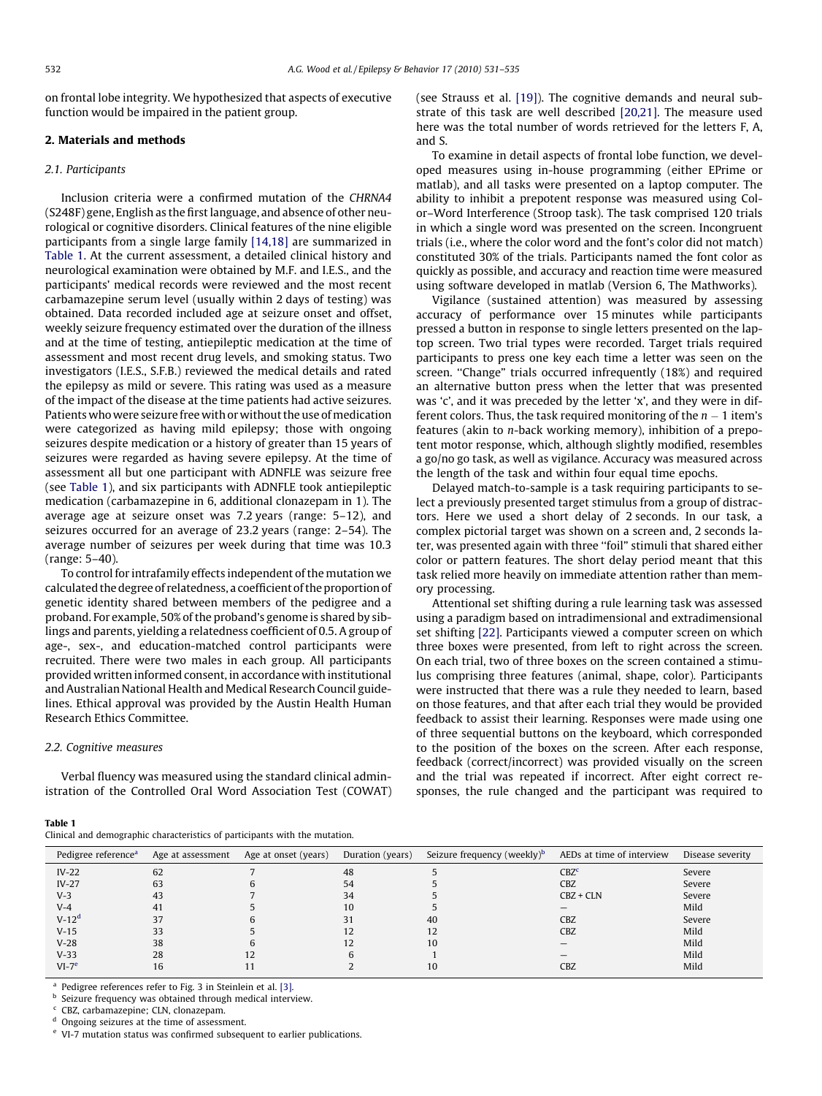on frontal lobe integrity. We hypothesized that aspects of executive function would be impaired in the patient group.

# 2. Materials and methods

#### 2.1. Participants

Inclusion criteria were a confirmed mutation of the CHRNA4 (S248F) gene, English as the first language, and absence of other neurological or cognitive disorders. Clinical features of the nine eligible participants from a single large family [\[14,18\]](#page-4-0) are summarized in Table 1. At the current assessment, a detailed clinical history and neurological examination were obtained by M.F. and I.E.S., and the participants' medical records were reviewed and the most recent carbamazepine serum level (usually within 2 days of testing) was obtained. Data recorded included age at seizure onset and offset, weekly seizure frequency estimated over the duration of the illness and at the time of testing, antiepileptic medication at the time of assessment and most recent drug levels, and smoking status. Two investigators (I.E.S., S.F.B.) reviewed the medical details and rated the epilepsy as mild or severe. This rating was used as a measure of the impact of the disease at the time patients had active seizures. Patients who were seizure free with or without the use of medication were categorized as having mild epilepsy; those with ongoing seizures despite medication or a history of greater than 15 years of seizures were regarded as having severe epilepsy. At the time of assessment all but one participant with ADNFLE was seizure free (see Table 1), and six participants with ADNFLE took antiepileptic medication (carbamazepine in 6, additional clonazepam in 1). The average age at seizure onset was 7.2 years (range: 5–12), and seizures occurred for an average of 23.2 years (range: 2–54). The average number of seizures per week during that time was 10.3 (range: 5–40).

To control for intrafamily effects independent of the mutation we calculated the degree of relatedness, a coefficient of the proportion of genetic identity shared between members of the pedigree and a proband. For example, 50% of the proband's genome is shared by siblings and parents, yielding a relatedness coefficient of 0.5. A group of age-, sex-, and education-matched control participants were recruited. There were two males in each group. All participants provided written informed consent, in accordance with institutional and Australian National Health and Medical Research Council guidelines. Ethical approval was provided by the Austin Health Human Research Ethics Committee.

#### 2.2. Cognitive measures

Table 1

Verbal fluency was measured using the standard clinical administration of the Controlled Oral Word Association Test (COWAT)

Clinical and demographic characteristics of participants with the mutation.

(see Strauss et al. [\[19\]](#page-4-0)). The cognitive demands and neural substrate of this task are well described [\[20,21\]](#page-4-0). The measure used here was the total number of words retrieved for the letters F, A, and S.

To examine in detail aspects of frontal lobe function, we developed measures using in-house programming (either EPrime or matlab), and all tasks were presented on a laptop computer. The ability to inhibit a prepotent response was measured using Color–Word Interference (Stroop task). The task comprised 120 trials in which a single word was presented on the screen. Incongruent trials (i.e., where the color word and the font's color did not match) constituted 30% of the trials. Participants named the font color as quickly as possible, and accuracy and reaction time were measured using software developed in matlab (Version 6, The Mathworks).

Vigilance (sustained attention) was measured by assessing accuracy of performance over 15 minutes while participants pressed a button in response to single letters presented on the laptop screen. Two trial types were recorded. Target trials required participants to press one key each time a letter was seen on the screen. ''Change" trials occurred infrequently (18%) and required an alternative button press when the letter that was presented was 'c', and it was preceded by the letter 'x', and they were in different colors. Thus, the task required monitoring of the  $n-1$  item's features (akin to n-back working memory), inhibition of a prepotent motor response, which, although slightly modified, resembles a go/no go task, as well as vigilance. Accuracy was measured across the length of the task and within four equal time epochs.

Delayed match-to-sample is a task requiring participants to select a previously presented target stimulus from a group of distractors. Here we used a short delay of 2 seconds. In our task, a complex pictorial target was shown on a screen and, 2 seconds later, was presented again with three ''foil" stimuli that shared either color or pattern features. The short delay period meant that this task relied more heavily on immediate attention rather than memory processing.

Attentional set shifting during a rule learning task was assessed using a paradigm based on intradimensional and extradimensional set shifting [\[22\]](#page-4-0). Participants viewed a computer screen on which three boxes were presented, from left to right across the screen. On each trial, two of three boxes on the screen contained a stimulus comprising three features (animal, shape, color). Participants were instructed that there was a rule they needed to learn, based on those features, and that after each trial they would be provided feedback to assist their learning. Responses were made using one of three sequential buttons on the keyboard, which corresponded to the position of the boxes on the screen. After each response, feedback (correct/incorrect) was provided visually on the screen and the trial was repeated if incorrect. After eight correct responses, the rule changed and the participant was required to

| Pedigree reference <sup>a</sup> | Age at assessment | Age at onset (years) | Duration (years) | Seizure frequency (weekly) <sup>b</sup> | AEDs at time of interview | Disease severity |
|---------------------------------|-------------------|----------------------|------------------|-----------------------------------------|---------------------------|------------------|
| $IV-22$                         | 62                |                      | 48               |                                         | CBZ <sup>c</sup>          | Severe           |
| $IV-27$                         | 63                |                      | 54               |                                         | <b>CBZ</b>                | Severe           |
| $V-3$                           | 43                |                      | 34               |                                         | $CBZ + CLN$               | Severe           |
| $V-4$                           | 41                |                      | 10               |                                         |                           | Mild             |
| $V-12d$                         | 37                |                      | 31               | 40                                      | CBZ                       | Severe           |
| $V-15$                          | 33                |                      |                  | 12                                      | <b>CBZ</b>                | Mild             |
| $V-28$                          | 38                |                      | 12               | 10                                      |                           | Mild             |
| $V-33$                          | 28                | 12                   | 6                |                                         |                           | Mild             |
| $VI-7e$                         | 16                |                      |                  | 10                                      | CBZ                       | Mild             |

Pedigree references refer to Fig. 3 in Steinlein et al. [\[3\].](#page-4-0)

**b** Seizure frequency was obtained through medical interview.

CBZ, carbamazepine; CLN, clonazepam.

Ongoing seizures at the time of assessment.

<sup>e</sup> VI-7 mutation status was confirmed subsequent to earlier publications.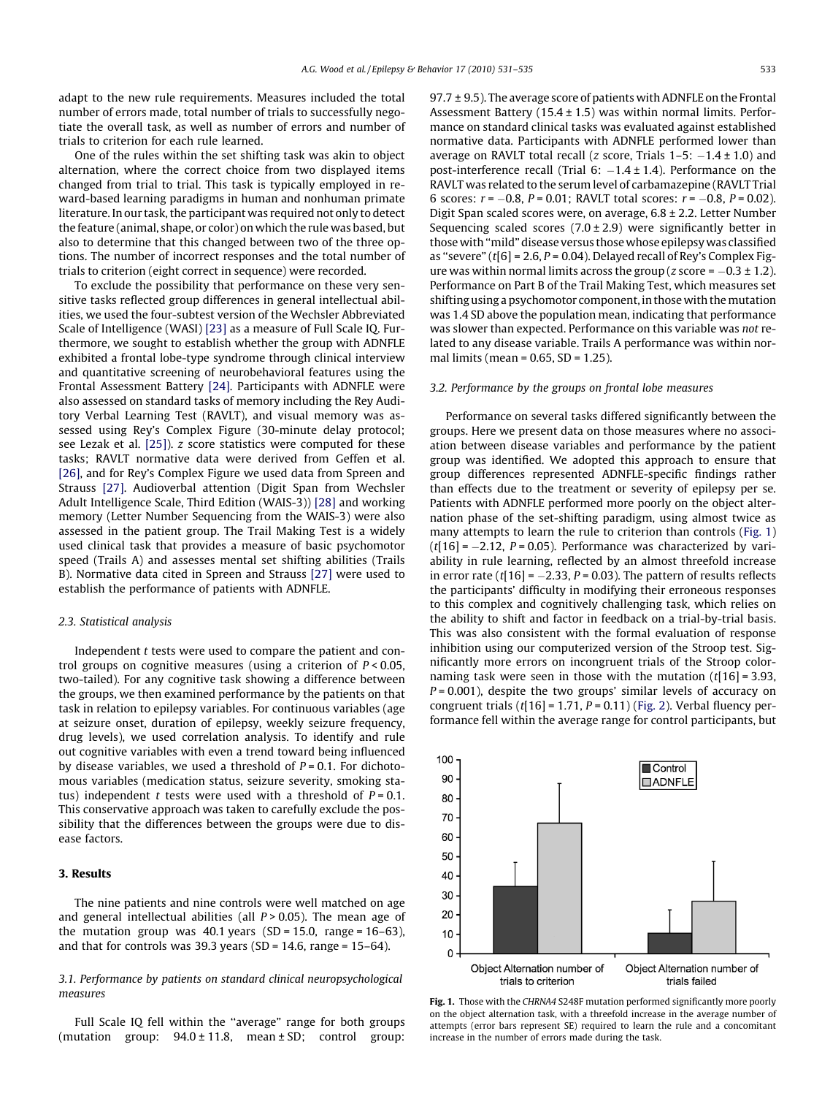adapt to the new rule requirements. Measures included the total number of errors made, total number of trials to successfully negotiate the overall task, as well as number of errors and number of trials to criterion for each rule learned.

One of the rules within the set shifting task was akin to object alternation, where the correct choice from two displayed items changed from trial to trial. This task is typically employed in reward-based learning paradigms in human and nonhuman primate literature. In our task, the participant was required not only to detect the feature (animal, shape, or color) on which the rule was based, but also to determine that this changed between two of the three options. The number of incorrect responses and the total number of trials to criterion (eight correct in sequence) were recorded.

To exclude the possibility that performance on these very sensitive tasks reflected group differences in general intellectual abilities, we used the four-subtest version of the Wechsler Abbreviated Scale of Intelligence (WASI) [\[23\]](#page-4-0) as a measure of Full Scale IQ. Furthermore, we sought to establish whether the group with ADNFLE exhibited a frontal lobe-type syndrome through clinical interview and quantitative screening of neurobehavioral features using the Frontal Assessment Battery [\[24\].](#page-4-0) Participants with ADNFLE were also assessed on standard tasks of memory including the Rey Auditory Verbal Learning Test (RAVLT), and visual memory was assessed using Rey's Complex Figure (30-minute delay protocol; see Lezak et al. [\[25\]\)](#page-4-0). z score statistics were computed for these tasks; RAVLT normative data were derived from Geffen et al. [\[26\]](#page-4-0), and for Rey's Complex Figure we used data from Spreen and Strauss [\[27\].](#page-4-0) Audioverbal attention (Digit Span from Wechsler Adult Intelligence Scale, Third Edition (WAIS-3)) [\[28\]](#page-4-0) and working memory (Letter Number Sequencing from the WAIS-3) were also assessed in the patient group. The Trail Making Test is a widely used clinical task that provides a measure of basic psychomotor speed (Trails A) and assesses mental set shifting abilities (Trails B). Normative data cited in Spreen and Strauss [\[27\]](#page-4-0) were used to establish the performance of patients with ADNFLE.

### 2.3. Statistical analysis

Independent t tests were used to compare the patient and control groups on cognitive measures (using a criterion of  $P < 0.05$ , two-tailed). For any cognitive task showing a difference between the groups, we then examined performance by the patients on that task in relation to epilepsy variables. For continuous variables (age at seizure onset, duration of epilepsy, weekly seizure frequency, drug levels), we used correlation analysis. To identify and rule out cognitive variables with even a trend toward being influenced by disease variables, we used a threshold of  $P = 0.1$ . For dichotomous variables (medication status, seizure severity, smoking status) independent t tests were used with a threshold of  $P = 0.1$ . This conservative approach was taken to carefully exclude the possibility that the differences between the groups were due to disease factors.

### 3. Results

The nine patients and nine controls were well matched on age and general intellectual abilities (all  $P > 0.05$ ). The mean age of the mutation group was  $40.1$  years (SD = 15.0, range = 16–63), and that for controls was 39.3 years (SD = 14.6, range =  $15-64$ ).

## 3.1. Performance by patients on standard clinical neuropsychological measures

Full Scale IQ fell within the ''average" range for both groups (mutation group:  $94.0 \pm 11.8$ , mean  $\pm$  SD; control group:  $97.7 \pm 9.5$ ). The average score of patients with ADNFLE on the Frontal Assessment Battery (15.4  $\pm$  1.5) was within normal limits. Performance on standard clinical tasks was evaluated against established normative data. Participants with ADNFLE performed lower than average on RAVLT total recall (*z* score, Trials  $1-5$ :  $-1.4 \pm 1.0$ ) and post-interference recall (Trial  $6: -1.4 \pm 1.4$ ). Performance on the RAVLT was related to the serum level of carbamazepine (RAVLT Trial 6 scores:  $r = -0.8$ ,  $P = 0.01$ ; RAVLT total scores:  $r = -0.8$ ,  $P = 0.02$ ). Digit Span scaled scores were, on average, 6.8 ± 2.2. Letter Number Sequencing scaled scores  $(7.0 \pm 2.9)$  were significantly better in those with ''mild" disease versus those whose epilepsywas classified as "severe" ( $t[6]$  = 2.6,  $P$  = 0.04). Delayed recall of Rey's Complex Figure was within normal limits across the group (z score =  $-0.3 \pm 1.2$ ). Performance on Part B of the Trail Making Test, which measures set shifting using a psychomotor component, in those with the mutation was 1.4 SD above the population mean, indicating that performance was slower than expected. Performance on this variable was not related to any disease variable. Trails A performance was within normal limits (mean = 0.65, SD = 1.25).

#### 3.2. Performance by the groups on frontal lobe measures

Performance on several tasks differed significantly between the groups. Here we present data on those measures where no association between disease variables and performance by the patient group was identified. We adopted this approach to ensure that group differences represented ADNFLE-specific findings rather than effects due to the treatment or severity of epilepsy per se. Patients with ADNFLE performed more poorly on the object alternation phase of the set-shifting paradigm, using almost twice as many attempts to learn the rule to criterion than controls (Fig. 1)  $(t[16]$  =  $-2.12$ , P = 0.05). Performance was characterized by variability in rule learning, reflected by an almost threefold increase in error rate (t[16] =  $-2.33$ , P = 0.03). The pattern of results reflects the participants' difficulty in modifying their erroneous responses to this complex and cognitively challenging task, which relies on the ability to shift and factor in feedback on a trial-by-trial basis. This was also consistent with the formal evaluation of response inhibition using our computerized version of the Stroop test. Significantly more errors on incongruent trials of the Stroop colornaming task were seen in those with the mutation  $(t[16] = 3.93,$  $P = 0.001$ ), despite the two groups' similar levels of accuracy on congruent trials  $(t[16] = 1.71, P = 0.11)$  [\(Fig. 2](#page-3-0)). Verbal fluency performance fell within the average range for control participants, but



Fig. 1. Those with the CHRNA4 S248F mutation performed significantly more poorly on the object alternation task, with a threefold increase in the average number of attempts (error bars represent SE) required to learn the rule and a concomitant increase in the number of errors made during the task.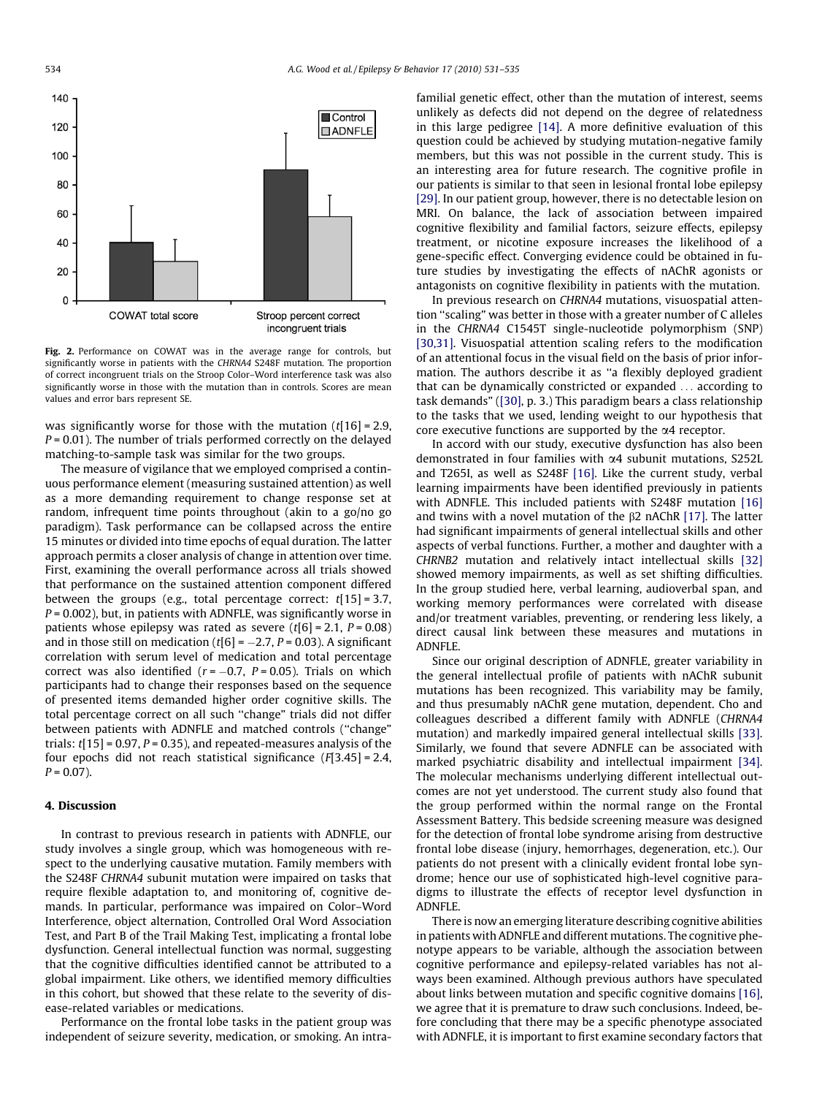<span id="page-3-0"></span>

Fig. 2. Performance on COWAT was in the average range for controls, but significantly worse in patients with the CHRNA4 S248F mutation. The proportion of correct incongruent trials on the Stroop Color–Word interference task was also significantly worse in those with the mutation than in controls. Scores are mean values and error bars represent SE.

was significantly worse for those with the mutation  $(t[16] = 2.9$ ,  $P = 0.01$ ). The number of trials performed correctly on the delayed matching-to-sample task was similar for the two groups.

The measure of vigilance that we employed comprised a continuous performance element (measuring sustained attention) as well as a more demanding requirement to change response set at random, infrequent time points throughout (akin to a go/no go paradigm). Task performance can be collapsed across the entire 15 minutes or divided into time epochs of equal duration. The latter approach permits a closer analysis of change in attention over time. First, examining the overall performance across all trials showed that performance on the sustained attention component differed between the groups (e.g., total percentage correct:  $t[15] = 3.7$ ,  $P = 0.002$ ), but, in patients with ADNFLE, was significantly worse in patients whose epilepsy was rated as severe  $(t[6] = 2.1, P = 0.08)$ and in those still on medication (t[6] =  $-2.7$ , P = 0.03). A significant correlation with serum level of medication and total percentage correct was also identified ( $r$ = $-0.7$ , P= $0.05$ ). Trials on which participants had to change their responses based on the sequence of presented items demanded higher order cognitive skills. The total percentage correct on all such ''change" trials did not differ between patients with ADNFLE and matched controls (''change" trials:  $t[15] = 0.97$ ,  $P = 0.35$ ), and repeated-measures analysis of the four epochs did not reach statistical significance  $(F[3.45] = 2.4$ ,  $P = 0.07$ ).

#### 4. Discussion

In contrast to previous research in patients with ADNFLE, our study involves a single group, which was homogeneous with respect to the underlying causative mutation. Family members with the S248F CHRNA4 subunit mutation were impaired on tasks that require flexible adaptation to, and monitoring of, cognitive demands. In particular, performance was impaired on Color–Word Interference, object alternation, Controlled Oral Word Association Test, and Part B of the Trail Making Test, implicating a frontal lobe dysfunction. General intellectual function was normal, suggesting that the cognitive difficulties identified cannot be attributed to a global impairment. Like others, we identified memory difficulties in this cohort, but showed that these relate to the severity of disease-related variables or medications.

Performance on the frontal lobe tasks in the patient group was independent of seizure severity, medication, or smoking. An intrafamilial genetic effect, other than the mutation of interest, seems unlikely as defects did not depend on the degree of relatedness in this large pedigree [\[14\].](#page-4-0) A more definitive evaluation of this question could be achieved by studying mutation-negative family members, but this was not possible in the current study. This is an interesting area for future research. The cognitive profile in our patients is similar to that seen in lesional frontal lobe epilepsy [\[29\]](#page-4-0). In our patient group, however, there is no detectable lesion on MRI. On balance, the lack of association between impaired cognitive flexibility and familial factors, seizure effects, epilepsy treatment, or nicotine exposure increases the likelihood of a gene-specific effect. Converging evidence could be obtained in future studies by investigating the effects of nAChR agonists or antagonists on cognitive flexibility in patients with the mutation.

In previous research on CHRNA4 mutations, visuospatial attention ''scaling" was better in those with a greater number of C alleles in the CHRNA4 C1545T single-nucleotide polymorphism (SNP) [\[30,31\]](#page-4-0). Visuospatial attention scaling refers to the modification of an attentional focus in the visual field on the basis of prior information. The authors describe it as ''a flexibly deployed gradient that can be dynamically constricted or expanded ... according to task demands" [\(\[30\],](#page-4-0) p. 3.) This paradigm bears a class relationship to the tasks that we used, lending weight to our hypothesis that core executive functions are supported by the a4 receptor.

In accord with our study, executive dysfunction has also been demonstrated in four families with a4 subunit mutations, S252L and T265I, as well as S248F [\[16\].](#page-4-0) Like the current study, verbal learning impairments have been identified previously in patients with ADNFLE. This included patients with S248F mutation [\[16\]](#page-4-0) and twins with a novel mutation of the  $\beta$ 2 nAChR [\[17\]](#page-4-0). The latter had significant impairments of general intellectual skills and other aspects of verbal functions. Further, a mother and daughter with a CHRNB2 mutation and relatively intact intellectual skills [\[32\]](#page-4-0) showed memory impairments, as well as set shifting difficulties. In the group studied here, verbal learning, audioverbal span, and working memory performances were correlated with disease and/or treatment variables, preventing, or rendering less likely, a direct causal link between these measures and mutations in ADNFLE.

Since our original description of ADNFLE, greater variability in the general intellectual profile of patients with nAChR subunit mutations has been recognized. This variability may be family, and thus presumably nAChR gene mutation, dependent. Cho and colleagues described a different family with ADNFLE (CHRNA4 mutation) and markedly impaired general intellectual skills [\[33\].](#page-4-0) Similarly, we found that severe ADNFLE can be associated with marked psychiatric disability and intellectual impairment [\[34\].](#page-4-0) The molecular mechanisms underlying different intellectual outcomes are not yet understood. The current study also found that the group performed within the normal range on the Frontal Assessment Battery. This bedside screening measure was designed for the detection of frontal lobe syndrome arising from destructive frontal lobe disease (injury, hemorrhages, degeneration, etc.). Our patients do not present with a clinically evident frontal lobe syndrome; hence our use of sophisticated high-level cognitive paradigms to illustrate the effects of receptor level dysfunction in ADNFLE.

There is now an emerging literature describing cognitive abilities in patients with ADNFLE and different mutations. The cognitive phenotype appears to be variable, although the association between cognitive performance and epilepsy-related variables has not always been examined. Although previous authors have speculated about links between mutation and specific cognitive domains [\[16\],](#page-4-0) we agree that it is premature to draw such conclusions. Indeed, before concluding that there may be a specific phenotype associated with ADNFLE, it is important to first examine secondary factors that